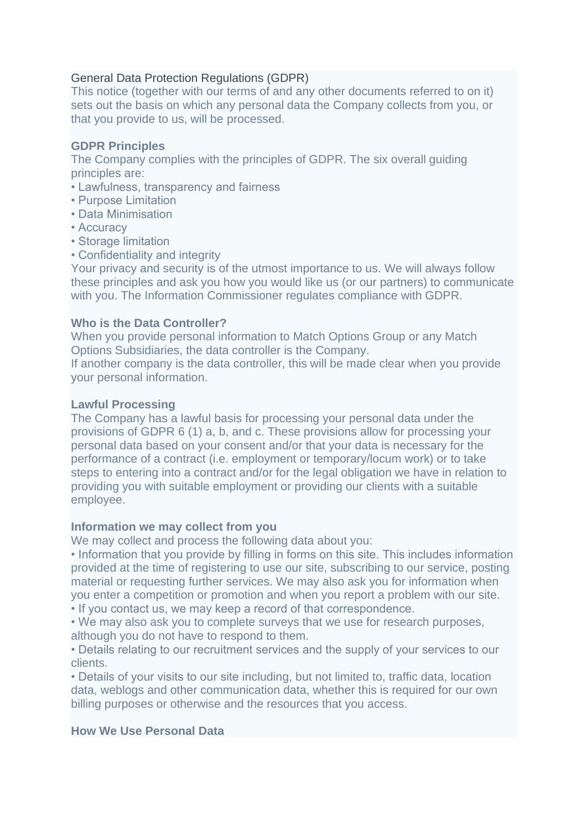# General Data Protection Regulations (GDPR)

This notice (together with our terms of and any other documents referred to on it) sets out the basis on which any personal data the Company collects from you, or that you provide to us, will be processed.

## **GDPR Principles**

The Company complies with the principles of GDPR. The six overall guiding principles are:

- Lawfulness, transparency and fairness
- Purpose Limitation
- Data Minimisation
- Accuracy
- Storage limitation
- Confidentiality and integrity

Your privacy and security is of the utmost importance to us. We will always follow these principles and ask you how you would like us (or our partners) to communicate with you. The Information Commissioner regulates compliance with GDPR.

### **Who is the Data Controller?**

When you provide personal information to Match Options Group or any Match Options Subsidiaries, the data controller is the Company.

If another company is the data controller, this will be made clear when you provide your personal information.

### **Lawful Processing**

The Company has a lawful basis for processing your personal data under the provisions of GDPR 6 (1) a, b, and c. These provisions allow for processing your personal data based on your consent and/or that your data is necessary for the performance of a contract (i.e. employment or temporary/locum work) or to take steps to entering into a contract and/or for the legal obligation we have in relation to providing you with suitable employment or providing our clients with a suitable employee.

## **Information we may collect from you**

We may collect and process the following data about you:

• Information that you provide by filling in forms on this site. This includes information provided at the time of registering to use our site, subscribing to our service, posting material or requesting further services. We may also ask you for information when you enter a competition or promotion and when you report a problem with our site. • If you contact us, we may keep a record of that correspondence.

• We may also ask you to complete surveys that we use for research purposes, although you do not have to respond to them.

• Details relating to our recruitment services and the supply of your services to our clients.

• Details of your visits to our site including, but not limited to, traffic data, location data, weblogs and other communication data, whether this is required for our own billing purposes or otherwise and the resources that you access.

## **How We Use Personal Data**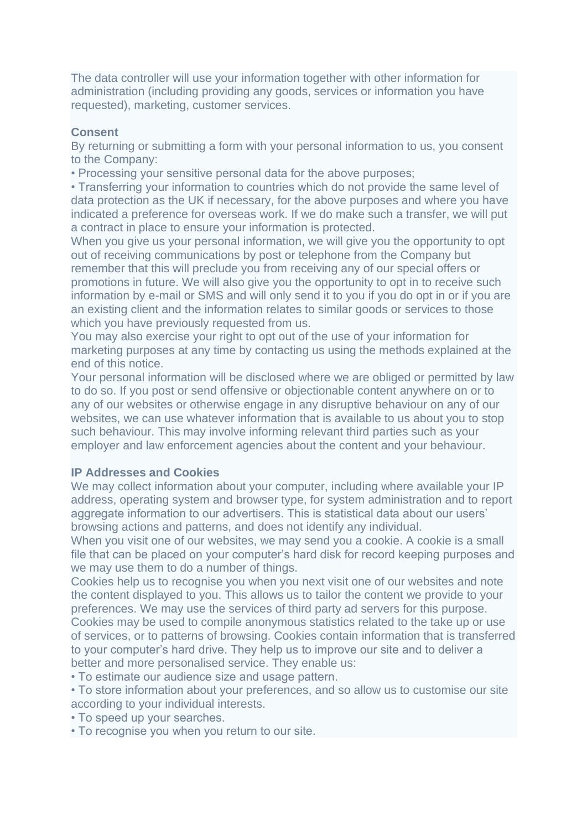The data controller will use your information together with other information for administration (including providing any goods, services or information you have requested), marketing, customer services.

#### **Consent**

By returning or submitting a form with your personal information to us, you consent to the Company:

• Processing your sensitive personal data for the above purposes;

• Transferring your information to countries which do not provide the same level of data protection as the UK if necessary, for the above purposes and where you have indicated a preference for overseas work. If we do make such a transfer, we will put a contract in place to ensure your information is protected.

When you give us your personal information, we will give you the opportunity to opt out of receiving communications by post or telephone from the Company but remember that this will preclude you from receiving any of our special offers or promotions in future. We will also give you the opportunity to opt in to receive such information by e-mail or SMS and will only send it to you if you do opt in or if you are an existing client and the information relates to similar goods or services to those which you have previously requested from us.

You may also exercise your right to opt out of the use of your information for marketing purposes at any time by contacting us using the methods explained at the end of this notice.

Your personal information will be disclosed where we are obliged or permitted by law to do so. If you post or send offensive or objectionable content anywhere on or to any of our websites or otherwise engage in any disruptive behaviour on any of our websites, we can use whatever information that is available to us about you to stop such behaviour. This may involve informing relevant third parties such as your employer and law enforcement agencies about the content and your behaviour.

### **IP Addresses and Cookies**

We may collect information about your computer, including where available your IP address, operating system and browser type, for system administration and to report aggregate information to our advertisers. This is statistical data about our users' browsing actions and patterns, and does not identify any individual.

When you visit one of our websites, we may send you a cookie. A cookie is a small file that can be placed on your computer's hard disk for record keeping purposes and we may use them to do a number of things.

Cookies help us to recognise you when you next visit one of our websites and note the content displayed to you. This allows us to tailor the content we provide to your preferences. We may use the services of third party ad servers for this purpose. Cookies may be used to compile anonymous statistics related to the take up or use of services, or to patterns of browsing. Cookies contain information that is transferred to your computer's hard drive. They help us to improve our site and to deliver a better and more personalised service. They enable us:

• To estimate our audience size and usage pattern.

• To store information about your preferences, and so allow us to customise our site according to your individual interests.

• To speed up your searches.

• To recognise you when you return to our site.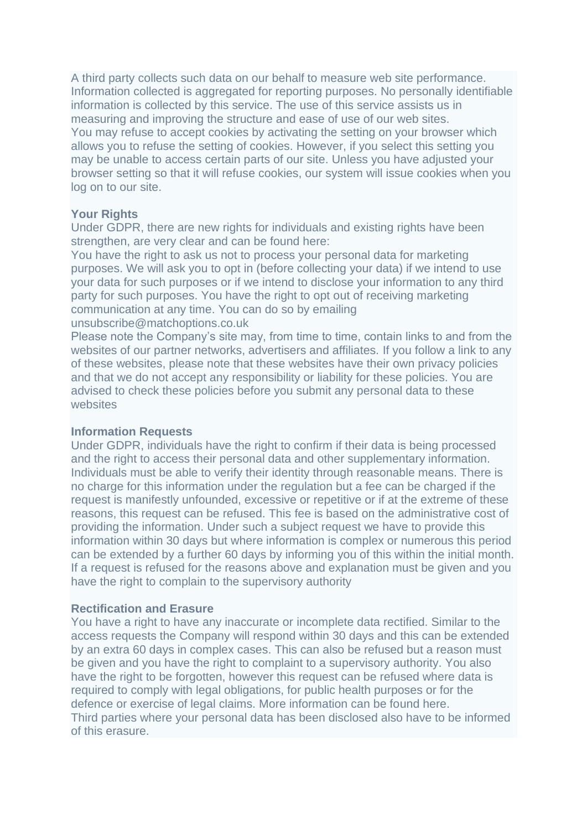A third party collects such data on our behalf to measure web site performance. Information collected is aggregated for reporting purposes. No personally identifiable information is collected by this service. The use of this service assists us in measuring and improving the structure and ease of use of our web sites. You may refuse to accept cookies by activating the setting on your browser which allows you to refuse the setting of cookies. However, if you select this setting you may be unable to access certain parts of our site. Unless you have adjusted your browser setting so that it will refuse cookies, our system will issue cookies when you log on to our site.

### **Your Rights**

Under GDPR, there are new rights for individuals and existing rights have been strengthen, are very clear and can be found here:

You have the right to ask us not to process your personal data for marketing purposes. We will ask you to opt in (before collecting your data) if we intend to use your data for such purposes or if we intend to disclose your information to any third party for such purposes. You have the right to opt out of receiving marketing communication at any time. You can do so by emailing unsubscribe@matchoptions.co.uk

Please note the Company's site may, from time to time, contain links to and from the websites of our partner networks, advertisers and affiliates. If you follow a link to any of these websites, please note that these websites have their own privacy policies and that we do not accept any responsibility or liability for these policies. You are advised to check these policies before you submit any personal data to these websites

#### **Information Requests**

Under GDPR, individuals have the right to confirm if their data is being processed and the right to access their personal data and other supplementary information. Individuals must be able to verify their identity through reasonable means. There is no charge for this information under the regulation but a fee can be charged if the request is manifestly unfounded, excessive or repetitive or if at the extreme of these reasons, this request can be refused. This fee is based on the administrative cost of providing the information. Under such a subject request we have to provide this information within 30 days but where information is complex or numerous this period can be extended by a further 60 days by informing you of this within the initial month. If a request is refused for the reasons above and explanation must be given and you have the right to complain to the supervisory authority

#### **Rectification and Erasure**

You have a right to have any inaccurate or incomplete data rectified. Similar to the access requests the Company will respond within 30 days and this can be extended by an extra 60 days in complex cases. This can also be refused but a reason must be given and you have the right to complaint to a supervisory authority. You also have the right to be forgotten, however this request can be refused where data is required to comply with legal obligations, for public health purposes or for the defence or exercise of legal claims. More information can be found here. Third parties where your personal data has been disclosed also have to be informed of this erasure.